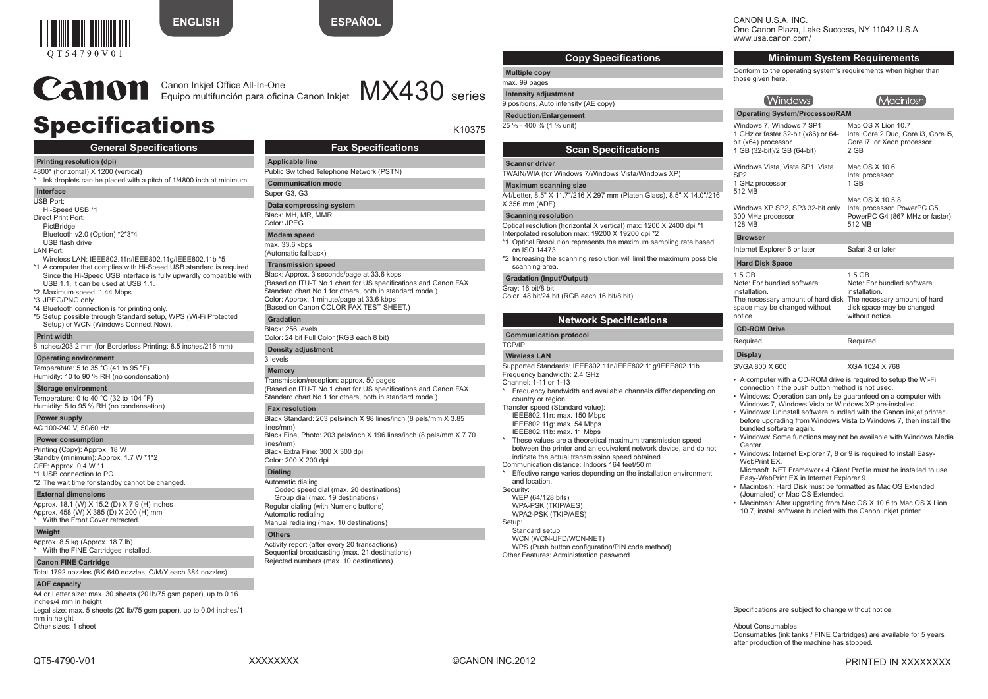

**ENGLISH**



CANON U.S.A. INC.

One Canon Plaza, Lake Success, NY 11042 U.S.A. www.usa.canon.com/

|                | <b>Minimum System Requirements</b>                                                                                                    |                                                                                                                                         |  |
|----------------|---------------------------------------------------------------------------------------------------------------------------------------|-----------------------------------------------------------------------------------------------------------------------------------------|--|
|                | Conform to the operating system's requirements when higher than<br>those given here.                                                  |                                                                                                                                         |  |
|                | [Windows]                                                                                                                             | 【Macintosh】                                                                                                                             |  |
|                | <b>Operating System/Processor/RAM</b>                                                                                                 |                                                                                                                                         |  |
|                | Windows 7. Windows 7 SP1<br>1 GHz or faster 32-bit (x86) or 64-<br>bit (x64) processor<br>1 GB (32-bit)/2 GB (64-bit)                 | Mac OS X Lion 10.7<br>Intel Core 2 Duo, Core i3, Core i5,<br>Core i7, or Xeon processor<br>2 GB                                         |  |
|                | Windows Vista, Vista SP1, Vista<br>SP <sub>2</sub><br>1 GHz processor<br>512 MB                                                       | Mac OS X 10.6<br>Intel processor<br>1 GB                                                                                                |  |
|                | Windows XP SP2, SP3 32-bit only<br>300 MHz processor<br><b>128 MB</b>                                                                 | Mac OS X 10.5.8<br>Intel processor, PowerPC G5,<br>PowerPC G4 (867 MHz or faster)<br>512 MB                                             |  |
| <b>Browser</b> |                                                                                                                                       |                                                                                                                                         |  |
|                | Internet Explorer 6 or later                                                                                                          | Safari 3 or later                                                                                                                       |  |
|                | <b>Hard Disk Space</b>                                                                                                                |                                                                                                                                         |  |
|                | 1.5 GB<br>Note: For bundled software<br>installation.<br>The necessary amount of hard disk<br>space may be changed without<br>notice. | $1.5$ GB<br>Note: For bundled software<br>installation.<br>The necessary amount of hard<br>disk space may be changed<br>without notice. |  |
|                | <b>CD-ROM Drive</b>                                                                                                                   |                                                                                                                                         |  |
|                | Required                                                                                                                              | Required                                                                                                                                |  |
|                | <b>Display</b>                                                                                                                        |                                                                                                                                         |  |
|                | SVGA 800 X 600                                                                                                                        | XGA 1024 X 768                                                                                                                          |  |

- A computer with a CD-ROM drive is required to setup the Wi-Fi connection if the push button method is not used.
- 
- Windows: Uninstall software bundled with the Canon inkjet printer before upgrading from Windows Vista to Windows 7, then install the bundled software again.
- Center.

- Macintosh: Hard Disk must be formatted as Mac OS Extended (Journaled) or Mac OS Extended.
- Macintosh: After upgrading from Mac OS X 10.6 to Mac OS X Lion 10.7, install software bundled with the Canon inkjet printer.

Specifications are subject to change without notice.

About Consumables Consumables (ink tanks / FINE Cartridges) are available for 5 years after production of the machine has stopped.

Canon Inkjet Office All-In-One<br>Equipo multifunción para oficina Canon Inkjet  $\mathsf{MX430}$  series Canon Inkjet Office All-In-One

# Specifications

# **General Specifications**

### **Printing resolution (dpi)**

4800\* (horizontal) X 1200 (vertical) \* Ink droplets can be placed with a pitch of 1/4800 inch at minimum.

# **Interface**

- USB Port:
- Hi-Speed USB \*1 Direct Print Port: PictBridge Bluetooth v2.0 (Option) \*2\*3\*4

USB flash drive LAN Port:

- Wireless LAN: IEEE802.11n/IEEE802.11g/IEEE802.11b \*5 \*1 A computer that complies with Hi-Speed USB standard is required. Since the Hi-Speed USB interface is fully upwardly compatible with USB 1.1, it can be used at USB 1.1.
- \*2 Maximum speed: 1.44 Mbps
- \*3 JPEG/PNG only
- \*4 Bluetooth connection is for printing only. \*5 Setup possible through Standard setup, WPS (Wi-Fi Protected Setup) or WCN (Windows Connect Now).

#### **Print width**

8 inches/203.2 mm (for Borderless Printing: 8.5 inches/216 mm)

#### **Operating environment**

Temperature: 5 to 35 °C (41 to 95 °F) Humidity: 10 to 90 % RH (no condensation)

#### **Storage environment**

Temperature: 0 to 40 °C (32 to 104 °F) Humidity: 5 to 95 % RH (no condensation)

# **Power supply**

AC 100-240 V, 50/60 Hz

#### **Power consumption**

Printing (Copy): Approx. 18 W Standby (minimum): Approx. 1.7 W \*1\*2 OFF: Approx. 0.4 W \*1

- \*1 USB connection to PC
- \*2 The wait time for standby cannot be changed.

#### **External dimensions**

Approx. 18.1 (W) X 15.2 (D) X 7.9 (H) inches Approx. 458 (W) X 385 (D) X 200 (H) mm With the Front Cover retracted.

#### **Weight**

Approx. 8.5 kg (Approx. 18.7 lb) with the FINE Cartridges installed.

#### **Canon FINE Cartridge**

Total 1792 nozzles (BK 640 nozzles, C/M/Y each 384 nozzles)

## **ADF capacity**

A4 or Letter size: max, 30 sheets (20 lb/75 gsm paper), up to 0.16 inches/4 mm in height Legal size: max. 5 sheets (20 lb/75 gsm paper), up to 0.04 inches/1 mm in height Other sizes: 1 sheet

QT5-4790-V01 XXXXXXXX ©CANON INC.2012 PRINTED IN XXXXXXXX

- These values are a theoretical maximum transmission speed between the printer and an equivalent network device, and do not indicate the actual transmission speed obtained. Communication distance: Indoors 164 feet/50 m Effective range varies depending on the installation environment
	- WEP (64/128 bits) WPA-PSK (TKIP/AES) WPA2-PSK (TKIP/AES)

Standard setup WCN (WCN-UFD/WCN-NET) WPS (Push button configuration/PIN code method) Other Features: Administration password

- Optical resolution (horizontal X vertical) max: 1200 X 2400 dpi \*1 Interpolated resolution max: 19200 X 19200 dpi \*2 \*1 Optical Resolution represents the maximum sampling rate based
	- \*2 Increasing the scanning resolution will limit the maximum possible scanning area.

# **Gradation (Input/Output)**

Gray: 16 bit/8 bit Color: 48 bit/24 bit (RGB each 16 bit/8 bit)

> TCP/IP **Wireless LAN**

on ISO 14473.

**Multiple copy** max. 99 pages **Intensity adjustment** 9 positions, Auto intensity (AE copy) **Reduction/Enlargement** 25 % - 400 % (1 % unit)

**Scanner driver**

**Scanning resolution**

# **Network Specifications**

**Copy Specifications**

**Scan Specifications**

TWAIN/WIA (for Windows 7/Windows Vista/Windows XP)

#### **Communication protocol**

Frequency bandwidth: 2.4 GHz Channel: 1-11 or 1-13

country or region. Transfer speed (Standard value): IEEE802.11n: max. 150 Mbps IEEE802.11g: max. 54 Mbps IEEE802.11b: max. 11 Mbps

Color: 24 bit Full Color (RGB each 8 bit)

#### **Density adjustment** 3 levels

### **Memory**

Transmission/reception: approx. 50 pages (Based on ITU-T No.1 chart for US specifications and Canon FAX Standard chart No.1 for others, both in standard mode.)

### **Fax resolution**

Black Standard: 203 pels/inch X 98 lines/inch (8 pels/mm X 3.85 lines/mm) Black Fine, Photo: 203 pels/inch X 196 lines/inch (8 pels/mm X 7.70 lines/mm) Black Extra Fine: 300 X 300 dpi

Color: 200 X 200 dpi

# **Dialing**

Automatic dialing Coded speed dial (max. 20 destinations) Group dial (max. 19 destinations) Regular dialing (with Numeric buttons) Automatic redialing Manual redialing (max. 10 destinations)

# **Others**

Activity report (after every 20 transactions) Sequential broadcasting (max. 21 destinations) Rejected numbers (max. 10 destinations)

- - and location. Security:

\* Frequency bandwidth and available channels differ depending on

Setup:

# Supported Standards: IEEE802.11n/IEEE802.11g/IEEE802.11b

- Windows: Operation can only be guaranteed on a computer with •
- Windows 7, Windows Vista or Windows XP pre-installed.
- 
- Windows: Some functions may not be available with Windows Media
- Windows: Internet Explorer 7, 8 or 9 is required to install Easy-• WebPrint EX.

Microsoft .NET Framework 4 Client Profile must be installed to use Easy-WebPrint EX in Internet Explorer 9.

- 
- 



K10375

**Data compressing system** Black: MH, MR, MMR

Public Switched Telephone Network (PSTN)

# Color: JPEG

**Modem speed** max. 33.6 kbps

**Applicable line**

**Communication mode** Super G3, G3

(Automatic fallback) **Transmission speed**

Black: Approx. 3 seconds/page at 33.6 kbps (Based on ITU-T No.1 chart for US specifications and Canon FAX Standard chart No.1 for others, both in standard mode.) Color: Approx. 1 minute/page at 33.6 kbps (Based on Canon COLOR FAX TEST SHEET.)

**Fax Specifications**

# **Gradation**

Black: 256 levels